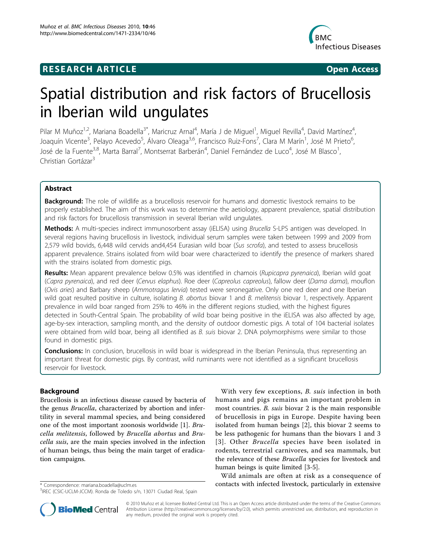## **RESEARCH ARTICLE Example 2018 CONSIDERING ACCESS**



# Spatial distribution and risk factors of Brucellosis in Iberian wild ungulates

Pilar M Muñoz<sup>1,2</sup>, Mariana Boadella<sup>3\*</sup>, Maricruz Arnal<sup>4</sup>, María J de Miguel<sup>1</sup>, Miguel Revilla<sup>4</sup>, David Martínez<sup>4</sup> , Joaquín Vicente<sup>3</sup>, Pelayo Acevedo<sup>5</sup>, Álvaro Oleaga<sup>3,6</sup>, Francisco Ruiz-Fons<sup>7</sup>, Clara M Marín<sup>1</sup>, José M Prieto<sup>6</sup> י<br>, José de la Fuente<sup>3,8</sup>, Marta Barral<sup>7</sup>, Montserrat Barberán<sup>4</sup>, Daniel Fernández de Luco<sup>4</sup>, José M Blasco<sup>1</sup> , Christian Gortázar<sup>3</sup>

## Abstract

**Background:** The role of wildlife as a brucellosis reservoir for humans and domestic livestock remains to be properly established. The aim of this work was to determine the aetiology, apparent prevalence, spatial distribution and risk factors for brucellosis transmission in several Iberian wild ungulates.

Methods: A multi-species indirect immunosorbent assay (iELISA) using Brucella S-LPS antigen was developed. In several regions having brucellosis in livestock, individual serum samples were taken between 1999 and 2009 from 2,579 wild bovids, 6,448 wild cervids and4,454 Eurasian wild boar (Sus scrofa), and tested to assess brucellosis apparent prevalence. Strains isolated from wild boar were characterized to identify the presence of markers shared with the strains isolated from domestic pigs.

Results: Mean apparent prevalence below 0.5% was identified in chamois (Rupicapra pyrenaica), Iberian wild goat (Capra pyrenaica), and red deer (Cervus elaphus). Roe deer (Capreolus capreolus), fallow deer (Dama dama), mouflon (Ovis aries) and Barbary sheep (Ammotragus lervia) tested were seronegative. Only one red deer and one Iberian wild goat resulted positive in culture, isolating B. abortus biovar 1 and B. melitensis biovar 1, respectively. Apparent prevalence in wild boar ranged from 25% to 46% in the different regions studied, with the highest figures detected in South-Central Spain. The probability of wild boar being positive in the iELISA was also affected by age, age-by-sex interaction, sampling month, and the density of outdoor domestic pigs. A total of 104 bacterial isolates were obtained from wild boar, being all identified as B. suis biovar 2. DNA polymorphisms were similar to those found in domestic pigs.

**Conclusions:** In conclusion, brucellosis in wild boar is widespread in the Iberian Peninsula, thus representing an important threat for domestic pigs. By contrast, wild ruminants were not identified as a significant brucellosis reservoir for livestock.

## Background

Brucellosis is an infectious disease caused by bacteria of the genus Brucella, characterized by abortion and infertility in several mammal species, and being considered one of the most important zoonosis worldwide [\[1](#page-11-0)]. Brucella melitensis, followed by Brucella abortus and Brucella suis, are the main species involved in the infection of human beings, thus being the main target of eradication campaigns.

With very few exceptions, B. suis infection in both humans and pigs remains an important problem in most countries. B. suis biovar 2 is the main responsible of brucellosis in pigs in Europe. Despite having been isolated from human beings [[2\]](#page-11-0), this biovar 2 seems to be less pathogenic for humans than the biovars 1 and 3 [[3\]](#page-11-0). Other Brucella species have been isolated in rodents, terrestrial carnivores, and sea mammals, but the relevance of these Brucella species for livestock and human beings is quite limited [[3-5](#page-11-0)].

Wild animals are often at risk as a consequence of \* Correspondence: [mariana.boadella@uclm.es](mailto:mariana.boadella@uclm.es) contacts with infected livestock, particularly in extensive



© 2010 Muñoz et al; licensee BioMed Central Ltd. This is an Open Access article distributed under the terms of the Creative Commons Attribution License [\(http://creativecommons.org/licenses/by/2.0](http://creativecommons.org/licenses/by/2.0)), which permits unrestricted use, distribution, and reproduction in any medium, provided the original work is properly cited.

<sup>&</sup>lt;sup>3</sup>IREC (CSIC-UCLM-JCCM). Ronda de Toledo s/n, 13071 Ciudad Real, Spain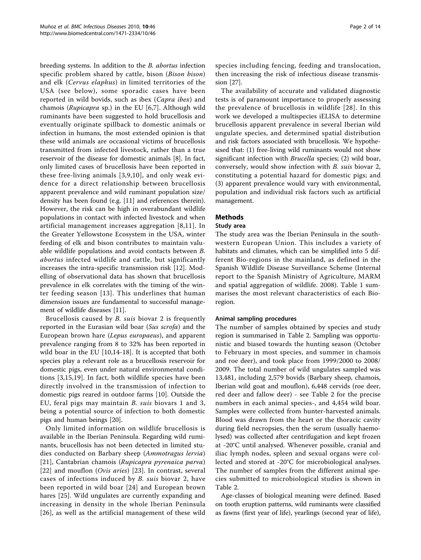breeding systems. In addition to the B. abortus infection specific problem shared by cattle, bison (Bison bison) and elk (Cervus elaphus) in limited territories of the USA (see below), some sporadic cases have been reported in wild bovids, such as ibex (Capra ibex) and chamois (Rupicapra sp.) in the EU [[6,7\]](#page-11-0). Although wild ruminants have been suggested to hold brucellosis and eventually originate spillback to domestic animals or infection in humans, the most extended opinion is that these wild animals are occasional victims of brucellosis transmitted from infected livestock, rather than a true reservoir of the disease for domestic animals [\[8\]](#page-11-0). In fact, only limited cases of brucellosis have been reported in these free-living animals [[3](#page-11-0),[9,10\]](#page-11-0), and only weak evidence for a direct relationship between brucellosis apparent prevalence and wild ruminant population size/ density has been found (e.g. [[11](#page-11-0)] and references therein). However, the risk can be high in overabundant wildlife populations in contact with infected livestock and when artificial management increases aggregation [\[8](#page-11-0),[11](#page-11-0)]. In the Greater Yellowstone Ecosystem in the USA, winter feeding of elk and bison contributes to maintain valuable wildlife populations and avoid contacts between B. abortus infected wildlife and cattle, but significantly increases the intra-specific transmission risk [[12\]](#page-11-0). Modelling of observational data has shown that brucellosis prevalence in elk correlates with the timing of the winter feeding season [[13\]](#page-11-0). This underlines that human dimension issues are fundamental to successful management of wildlife diseases [\[11](#page-11-0)].

Brucellosis caused by B. suis biovar 2 is frequently reported in the Eurasian wild boar (Sus scrofa) and the European brown hare (Lepus europaeus), and apparent prevalence ranging from 8 to 32% has been reported in wild boar in the EU [\[10](#page-11-0),[14-18](#page-11-0)]. It is accepted that both species play a relevant role as a brucellosis reservoir for domestic pigs, even under natural environmental conditions [\[3,15,19](#page-11-0)]. In fact, both wildlife species have been directly involved in the transmission of infection to domestic pigs reared in outdoor farms [\[10](#page-11-0)]. Outside the EU, feral pigs may maintain B. suis biovars 1 and 3, being a potential source of infection to both domestic pigs and human beings [\[20](#page-11-0)].

Only limited information on wildlife brucellosis is available in the Iberian Peninsula. Regarding wild ruminants, brucellosis has not been detected in limited studies conducted on Barbary sheep (Ammotragus lervia) [[21](#page-11-0)], Cantabrian chamois (Rupicapra pyrenaica parva) [[22](#page-11-0)] and mouflon (Ovis aries) [\[23](#page-11-0)]. In contrast, several cases of infections induced by B. suis biovar 2, have been reported in wild boar [[24](#page-12-0)] and European brown hares [\[25](#page-12-0)]. Wild ungulates are currently expanding and increasing in density in the whole Iberian Peninsula [[26](#page-12-0)], as well as the artificial management of these wild species including fencing, feeding and translocation, then increasing the risk of infectious disease transmission [[27\]](#page-12-0).

The availability of accurate and validated diagnostic tests is of paramount importance to properly assessing the prevalence of brucellosis in wildlife [[28\]](#page-12-0). In this work we developed a multispecies iELISA to determine brucellosis apparent prevalence in several Iberian wild ungulate species, and determined spatial distribution and risk factors associated with brucellosis. We hypothesised that: (1) free-living wild ruminants would not show significant infection with *Brucella* species; (2) wild boar, conversely, would show infection with B. suis biovar 2, constituting a potential hazard for domestic pigs; and (3) apparent prevalence would vary with environmental, population and individual risk factors such as artificial management.

## Methods

### Study area

The study area was the Iberian Peninsula in the southwestern European Union. This includes a variety of habitats and climates, which can be simplified into 5 different Bio-regions in the mainland, as defined in the Spanish Wildlife Disease Surveillance Scheme (Internal report to the Spanish Ministry of Agriculture, MARM and spatial aggregation of wildlife. 2008). Table [1](#page-2-0) summarises the most relevant characteristics of each Bioregion.

## Animal sampling procedures

The number of samples obtained by species and study region is summarised in Table [2.](#page-2-0) Sampling was opportunistic and biased towards the hunting season (October to February in most species, and summer in chamois and roe deer), and took place from 1999/2000 to 2008/ 2009. The total number of wild ungulates sampled was 13,481, including 2,579 bovids (Barbary sheep, chamois, Iberian wild goat and mouflon), 6,448 cervids (roe deer, red deer and fallow deer) - see Table [2](#page-2-0) for the precise numbers in each animal species-, and 4,454 wild boar. Samples were collected from hunter-harvested animals. Blood was drawn from the heart or the thoracic cavity during field necropsies, then the serum (usually haemolysed) was collected after centrifugation and kept frozen at -20°C until analysed. Whenever possible, cranial and iliac lymph nodes, spleen and sexual organs were collected and stored at -20°C for microbiological analyses. The number of samples from the different animal species submitted to microbiological studies is shown in Table [2.](#page-2-0)

Age-classes of biological meaning were defined. Based on tooth eruption patterns, wild ruminants were classified as fawns (first year of life), yearlings (second year of life),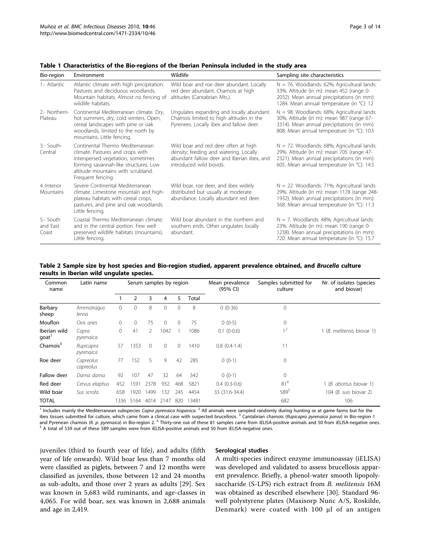| Bio-region                     | Environment                                                                                                                                                                                                    | Wildlife                                                                                                                                                | Sampling site characteristics                                                                                                                                                             |
|--------------------------------|----------------------------------------------------------------------------------------------------------------------------------------------------------------------------------------------------------------|---------------------------------------------------------------------------------------------------------------------------------------------------------|-------------------------------------------------------------------------------------------------------------------------------------------------------------------------------------------|
| 1.- Atlantic                   | Atlantic climate with high precipitation.<br>Pastures and deciduous woodlands.<br>Mountain habitats. Almost no fencing of<br>wildlife habitats.                                                                | Wild boar and roe deer abundant. Locally<br>red deer abundant. Chamois at high<br>altitudes (Cantabrian Mts.).                                          | $N = 76$ . Woodlands: 62%; Agricultural lands:<br>33%. Altitude (in m): mean 452 (range 0-<br>2032). Mean annual precipitations (in mm):<br>1284. Mean annual temperature (in °C): 12     |
| 2.- Northern-<br>Plateau       | Continental Mediterranean climate. Dry,<br>hot summers, dry, cold winters. Open,<br>cereal landscapes with pine or oak<br>woodlands, limited to the north by<br>mountains. Little fencing.                     | Ungulates expanding and locally abundant.<br>Chamois limited to high altitudes in the<br>Pyrenees. Locally ibex and fallow deer.                        | $N = 98$ . Woodlands: 68%; Agricultural lands:<br>30%. Altitude (in m): mean 987 (range 67-<br>3314). Mean annual precipitations (in mm):<br>808. Mean annual temperature (in °C): 10.5   |
| 3.- South-<br>Central          | Continental Thermo Mediterranean<br>climate. Pastures and crops with<br>interspersed vegetation, sometimes<br>forming savannah-like structures. Low<br>altitude mountains with scrubland.<br>Frequent fencing. | Wild boar and red deer often at high<br>density; feeding and watering. Locally<br>abundant fallow deer and Iberian ibex, and<br>introduced wild bovids. | $N = 72$ . Woodlands: 68%; Agricultural lands:<br>29%. Altitude (in m): mean 705 (range 47-<br>2321). Mean annual precipitations (in mm):<br>605. Mean annual temperature (in °C): 14.5   |
| 4-Interior<br>Mountains        | Severe Continental Mediterranean<br>climate. Limestone mountain and high-<br>plateau habitats with cereal crops,<br>pastures, and pine and oak woodlands.<br>Little fencing.                                   | Wild boar, roe deer, and ibex widely<br>distributed but usually at moderate<br>abundance. Locally abundant red deer.                                    | $N = 22$ . Woodlands: 71%; Agricultural lands:<br>29%. Altitude (in m): mean 1178 (range 248-<br>1932). Mean annual precipitations (in mm):<br>568. Mean annual temperature (in °C): 11.3 |
| 5.- South<br>and East<br>Coast | Coastal Thermo Mediterranean climate;<br>arid in the central portion. Few well<br>preserved wildlife habitats (mountains).<br>Little fencing.                                                                  | Wild boar abundant in the northern and<br>southern ends. Other ungulates locally<br>abundant.                                                           | $N = 7$ . Woodlands: 48%; Agricultural lands:<br>23%. Altitude (in m): mean 190 (range 0-<br>1238). Mean annual precipitations (in mm):<br>720. Mean annual temperature (in °C): 15.7     |

<span id="page-2-0"></span>Table 1 Characteristics of the Bio-regions of the Iberian Peninsula included in the study area

## Table 2 Sample size by host species and Bio-region studied, apparent prevalence obtained, and Brucella culture results in Iberian wild ungulate species.

| Common<br>name       | Latin name             | Serum samples by region |          | Mean prevalence<br>(95% CI) | Samples submitted for<br>culture | Nr. of isolates (species<br>and biovar) |       |                |                |                            |
|----------------------|------------------------|-------------------------|----------|-----------------------------|----------------------------------|-----------------------------------------|-------|----------------|----------------|----------------------------|
|                      |                        |                         | 2        | 3                           | 4                                | 5                                       | Total |                |                |                            |
| Barbary<br>sheep     | Ammotragus<br>lervia   | $\circ$                 | 0        | 8                           | $\mathbf{0}$                     | $\mathbf{0}$                            | 8     | $0(0-36)$      | $\mathbf 0$    |                            |
| Mouflon              | Ovis aries             | $\mathbf{0}$            | $\Omega$ | 75                          | $\mathbf{0}$                     | $\mathbf{0}$                            | 75    | $0(0-5)$       | $\mathbf{0}$   |                            |
| Iberian wild<br>goat | Capra<br>pyrenaica     | $\Omega$                | 41       | $\mathcal{P}$               | 1042                             |                                         | 1086  | $0.1(0-0.6)$   | 1 <sup>2</sup> | 1 (B. melitensis biovar 1) |
| Chamois <sup>3</sup> | Rupicapra<br>pyrenaica | 57                      | 1353     | $\Omega$                    | $\mathbf{0}$                     | $\mathbf{0}$                            | 1410  | $0.8(0.4-1.4)$ | 11             |                            |
| Roe deer             | Capreolus<br>capreolus | 77                      | 152      | 5                           | 9                                | 42                                      | 285   | $0(0-1)$       | $\mathbf{0}$   |                            |
| Fallow deer          | Dama dama              | 92                      | 107      | 47                          | 32                               | 64                                      | 342   | $0(0-1)$       | $\Omega$       |                            |
| Red deer             | Cervus elaphus         | 452                     | 591      | 2378                        | 932                              | 468                                     | 5821  | $0.4(0.3-0.6)$ | $81^{4}$       | (B. abortus biovar 1)      |
| Wild boar            | Sus scrofa             | 658                     | 1920     | 1499                        | 132                              | 245                                     | 4454  | 33 (31.6-34.4) | 5895           | 104 (B. suis biovar 2)     |
| <b>TOTAL</b>         |                        | 1336                    | 5164     | 4014                        | 2147                             | 820                                     | 13481 |                | 682            | 106                        |

<sup>1</sup> Includes mainly the Mediterranean subspecies Capra pyrenaica hispanica. <sup>2</sup> All animals were sampled randomly during hunting or at game farms but for the ibex tissues submitted for culture, which came from a clinical case with suspected brucellosis.<sup>3</sup> Cantabrian chamois (Rupicapra pyrenaica parva) in Bio-region 1 and Pyrenean chamois (R. p. pyrenaica) in Bio-region 2. <sup>4</sup> Thirty-one out of these 81 samples came from iELISA-positive animals and 50 from iELISA-negative ones.<br><sup>5</sup> A total of 539 out of these 589 samples were from iELI

juveniles (third to fourth year of life), and adults (fifth year of life onwards). Wild boar less than 7 months old were classified as piglets, between 7 and 12 months were classified as juveniles, those between 12 and 24 months as sub-adults, and those over 2 years as adults [[29](#page-12-0)]. Sex was known in 5,683 wild ruminants, and age-classes in 4,065. For wild boar, sex was known in 2,688 animals and age in 2,419.

#### Serological studies

A multi-species indirect enzyme immunoassay (iELISA) was developed and validated to assess brucellosis apparent prevalence. Briefly, a phenol-water smooth lipopolysaccharide (S-LPS) rich extract from B. melitensis 16M was obtained as described elsewhere [\[30](#page-12-0)]. Standard 96 well polystyrene plates (Maxisorp Nunc A/S, Roskilde, Denmark) were coated with 100 μl of an antigen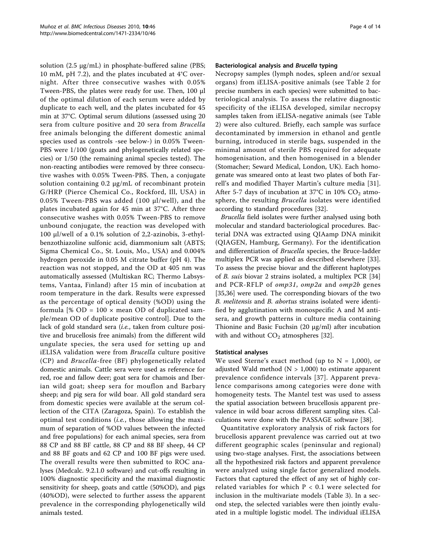solution (2.5 μg/mL) in phosphate-buffered saline (PBS; 10 mM, pH 7.2), and the plates incubated at 4°C overnight. After three consecutive washes with 0.05% Tween-PBS, the plates were ready for use. Then, 100 μl of the optimal dilution of each serum were added by duplicate to each well, and the plates incubated for 45 min at 37°C. Optimal serum dilutions (assessed using 20 sera from culture positive and 20 sera from Brucella free animals belonging the different domestic animal species used as controls -see below-) in 0.05% Tween-PBS were 1/100 (goats and phylogenetically related species) or 1/50 (the remaining animal species tested). The non-reacting antibodies were removed by three consecutive washes with 0.05% Tween-PBS. Then, a conjugate solution containing 0.2 μg/mL of recombinant protein G/HRP (Pierce Chemical Co., Rockford, Ill, USA) in 0.05% Tween-PBS was added (100 μl/well), and the plates incubated again for 45 min at 37°C. After three consecutive washes with 0.05% Tween-PBS to remove unbound conjugate, the reaction was developed with 100 μl/well of a 0.1% solution of 2,2-azinobis, 3-ethylbenzothiazoline sulfonic acid, diammonium salt (ABTS; Sigma Chemical Co., St. Louis, Mo., USA) and 0.004% hydrogen peroxide in 0.05 M citrate buffer (pH 4). The reaction was not stopped, and the OD at 405 nm was automatically assessed (Multiskan RC; Thermo Labsystems, Vantaa, Finland) after 15 min of incubation at room temperature in the dark. Results were expressed as the percentage of optical density (%OD) using the formula  $[% OD = 100 \times mean OD$  of duplicated sample/mean OD of duplicate positive control]. Due to the lack of gold standard sera (*i.e.*, taken from culture positive and brucellosis free animals) from the different wild ungulate species, the sera used for setting up and iELISA validation were from Brucella culture positive (CP) and Brucella-free (BF) phylogenetically related domestic animals. Cattle sera were used as reference for red, roe and fallow deer; goat sera for chamois and Iberian wild goat; sheep sera for mouflon and Barbary sheep; and pig sera for wild boar. All gold standard sera from domestic species were available at the serum collection of the CITA (Zaragoza, Spain). To establish the optimal test conditions (i.e., those allowing the maximum of separation of %OD values between the infected and free populations) for each animal species, sera from 88 CP and 88 BF cattle, 88 CP and 88 BF sheep, 44 CP and 88 BF goats and 62 CP and 100 BF pigs were used. The overall results were then submitted to ROC analyses (Medcalc. 9.2.1.0 software) and cut-offs resulting in 100% diagnostic specificity and the maximal diagnostic sensitivity for sheep, goats and cattle (50%OD), and pigs (40%OD), were selected to further assess the apparent prevalence in the corresponding phylogenetically wild animals tested.

## Bacteriological analysis and Brucella typing

Necropsy samples (lymph nodes, spleen and/or sexual organs) from iELISA-positive animals (see Table [2](#page-2-0) for precise numbers in each species) were submitted to bacteriological analysis. To assess the relative diagnostic specificity of the iELISA developed, similar necropsy samples taken from iELISA-negative animals (see Table [2\)](#page-2-0) were also cultured. Briefly, each sample was surface decontaminated by immersion in ethanol and gentle burning, introduced in sterile bags, suspended in the minimal amount of sterile PBS required for adequate homogenisation, and then homogenised in a blender (Stomacher; Seward Medical, London, UK). Each homogenate was smeared onto at least two plates of both Farrell's and modified Thayer Martin's culture media [[31](#page-12-0)]. After 5-7 days of incubation at 37°C in 10%  $CO<sub>2</sub>$  atmosphere, the resulting *Brucella* isolates were identified according to standard procedures [[32\]](#page-12-0).

Brucella field isolates were further analysed using both molecular and standard bacteriological procedures. Bacterial DNA was extracted using QIAamp DNA minikit (QIAGEN, Hamburg, Germany). For the identification and differentiation of *Brucella* species, the Bruce-ladder multiplex PCR was applied as described elsewhere [\[33](#page-12-0)]. To assess the precise biovar and the different haplotypes of B. suis biovar 2 strains isolated, a multiplex PCR [[34](#page-12-0)] and PCR-RFLP of omp31, omp2a and omp2b genes [[35,36\]](#page-12-0) were used. The corresponding biovars of the two B. melitensis and B. abortus strains isolated were identified by agglutination with monospecific A and M antisera, and growth patterns in culture media containing Thionine and Basic Fuchsin (20 μg/ml) after incubation with and without  $CO<sub>2</sub>$  atmospheres [\[32](#page-12-0)].

## Statistical analyses

We used Sterne's exact method (up to  $N = 1,000$ ), or adjusted Wald method ( $N > 1,000$ ) to estimate apparent prevalence confidence intervals [[37](#page-12-0)]. Apparent prevalence comparisons among categories were done with homogeneity tests. The Mantel test was used to assess the spatial association between brucellosis apparent prevalence in wild boar across different sampling sites. Calculations were done with the PASSAGE software [\[38\]](#page-12-0).

Quantitative exploratory analysis of risk factors for brucellosis apparent prevalence was carried out at two different geographic scales (peninsular and regional) using two-stage analyses. First, the associations between all the hypothesized risk factors and apparent prevalence were analyzed using single factor generalized models. Factors that captured the effect of any set of highly correlated variables for which  $P < 0.1$  were selected for inclusion in the multivariate models (Table [3\)](#page-4-0). In a second step, the selected variables were then jointly evaluated in a multiple logistic model. The individual iELISA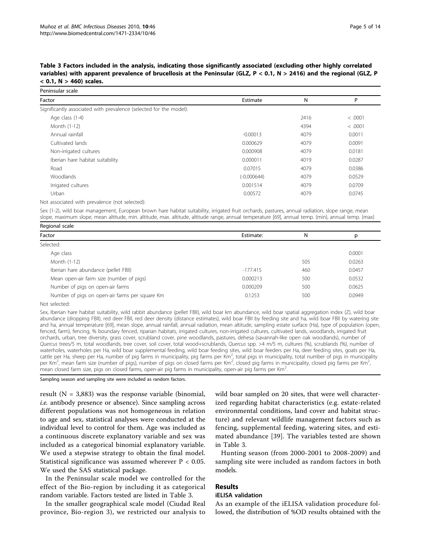<span id="page-4-0"></span>Table 3 Factors included in the analysis, indicating those significantly associated (excluding other highly correlated variables) with apparent prevalence of brucellosis at the Peninsular (GLZ, P < 0.1, N > 2416) and the regional (GLZ, P  $< 0.1$ , N  $> 460$ ) scales.

| Peninsular scale                                                   |               |      |         |
|--------------------------------------------------------------------|---------------|------|---------|
| Factor                                                             | Estimate      | N    | P       |
| Significantly associated with prevalence (selected for the model): |               |      |         |
| Age class (1-4)                                                    |               | 2416 | < .0001 |
| Month (1-12)                                                       |               | 4394 | < .0001 |
| Annual rainfall                                                    | $-0.00013$    | 4079 | 0.0011  |
| Cultivated lands                                                   | 0.000629      | 4079 | 0.0091  |
| Non-irrigated cultures                                             | 0.000908      | 4079 | 0.0181  |
| Iberian hare habitat suitability                                   | 0.000011      | 4019 | 0.0287  |
| Road                                                               | 0.07015       | 4079 | 0.0386  |
| Woodlands                                                          | $(-0.000644)$ | 4079 | 0.0529  |
| Irrigated cultures                                                 | 0.001514      | 4079 | 0.0709  |
| Urban                                                              | 0.00572       | 4079 | 0.0745  |
|                                                                    |               |      |         |

Not associated with prevalence (not selected):

Sex (1-2), wild boar management, European brown hare habitat suitability, irrigated fruit orchards, pastures, annual radiation, slope range, mean slope, maximum slope, mean altitude, min. altitude, max. altitude, altitude range, annual temperature [\[69\]](#page-13-0), annual temp. (min), annual temp. (max)

| Regional scale                                 |            |     |        |  |  |  |  |
|------------------------------------------------|------------|-----|--------|--|--|--|--|
| Factor                                         | Estimate:  | N   | р      |  |  |  |  |
| Selected:                                      |            |     |        |  |  |  |  |
| Age class                                      |            |     | 0.0001 |  |  |  |  |
| Month (1-12)                                   |            | 505 | 0.0263 |  |  |  |  |
| Iberian hare abundance (pellet FBII)           | $-177.415$ | 460 | 0.0457 |  |  |  |  |
| Mean open-air farm size (number of pigs)       | 0.000213   | 500 | 0.0532 |  |  |  |  |
| Number of pigs on open-air farms               | 0.000209   | 500 | 0.0625 |  |  |  |  |
| Number of pigs on open-air farms per square Km | 0.1253     | 500 | 0.0949 |  |  |  |  |
|                                                |            |     |        |  |  |  |  |

Not selected:

Sex, Iberian hare habitat suitability, wild rabbit abundance (pellet FBII), wild boar km abundance, wild boar spatial aggregation index (Z), wild boar abundance (dropping FBII), red deer FBII, red deer density (distance estimates), wild boar FBII by feeding site and ha, wild boar FBII by watering site and ha, annual temperature [\[69\]](#page-13-0), mean slope, annual rainfall, annual radiation, mean altitude, sampling estate surface (Ha), type of population (open, fenced, farm), fencing, % boundary fenced, riparian habitats, irrigated cultures, non-irrigated cultures, cultivated lands, woodlands, irrigated fruit orchards, urban, tree diversity, grass cover, scrubland cover, pine woodlands, pastures, dehesa (savannah-like open oak woodlands), number of Quercus trees/5 m, total woodlands, tree cover, soil cover, total wood+scrublands, Quercus spp. >4 m/5 m, cultures (%), scrublands (%), number of waterholes, waterholes per Ha, wild boar supplemental feeding, wild boar feeding sites, wild boar feeders per Ha, deer feeding sites, goats per Ha, cattle per Ha, sheep per Ha, number of pig farms in municipality, pig farms per Km<sup>2</sup>, total pigs in municipality, total number of pigs in municipality per Km<sup>2</sup>, mean farm size (number of pigs), number of pigs on closed farms per Km<sup>2</sup>, closed pig farms in municipality, closed pig farms per Km<sup>2</sup> , mean closed farm size, pigs on closed farms, open-air pig farms in municipality, open-air pig farms per  $Km<sup>2</sup>$ . .

Sampling season and sampling site were included as random factors.

result ( $N = 3,883$ ) was the response variable (binomial, i.e. antibody presence or absence). Since sampling across different populations was not homogeneous in relation to age and sex, statistical analyses were conducted at the individual level to control for them. Age was included as a continuous discrete explanatory variable and sex was included as a categorical binomial explanatory variable. We used a stepwise strategy to obtain the final model. Statistical significance was assumed wherever  $P < 0.05$ . We used the SAS statistical package.

In the Peninsular scale model we controlled for the effect of the Bio-region by including it as categorical random variable. Factors tested are listed in Table 3.

In the smaller geographical scale model (Ciudad Real province, Bio-region 3), we restricted our analysis to

wild boar sampled on 20 sites, that were well characterized regarding habitat characteristics (e.g. estate-related environmental conditions, land cover and habitat structure) and relevant wildlife management factors such as fencing, supplemental feeding, watering sites, and estimated abundance [[39\]](#page-12-0). The variables tested are shown in Table 3.

Hunting season (from 2000-2001 to 2008-2009) and sampling site were included as random factors in both models.

## Results

## iELISA validation

As an example of the iELISA validation procedure followed, the distribution of %OD results obtained with the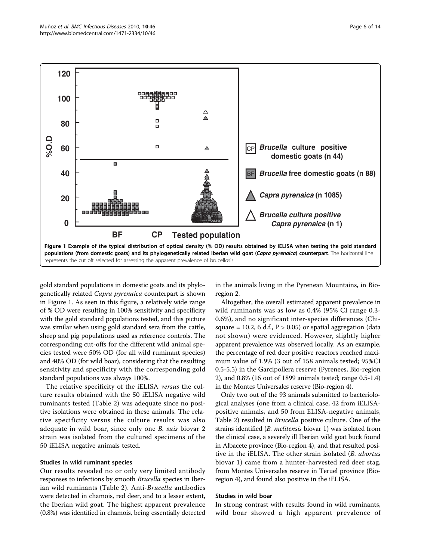

gold standard populations in domestic goats and its phylogenetically related Capra pyrenaica counterpart is shown in Figure 1. As seen in this figure, a relatively wide range of % OD were resulting in 100% sensitivity and specificity with the gold standard populations tested, and this picture was similar when using gold standard sera from the cattle, sheep and pig populations used as reference controls. The corresponding cut-offs for the different wild animal species tested were 50% OD (for all wild ruminant species) and 40% OD (for wild boar), considering that the resulting sensitivity and specificity with the corresponding gold standard populations was always 100%.

The relative specificity of the iELISA versus the culture results obtained with the 50 iELISA negative wild ruminants tested (Table [2\)](#page-2-0) was adequate since no positive isolations were obtained in these animals. The relative specificity versus the culture results was also adequate in wild boar, since only one B. suis biovar 2 strain was isolated from the cultured specimens of the 50 iELISA negative animals tested.

## Studies in wild ruminant species

Our results revealed no or only very limited antibody responses to infections by smooth Brucella species in Iberian wild ruminants (Table [2\)](#page-2-0). Anti-Brucella antibodies were detected in chamois, red deer, and to a lesser extent, the Iberian wild goat. The highest apparent prevalence (0.8%) was identified in chamois, being essentially detected

in the animals living in the Pyrenean Mountains, in Bioregion 2.

Altogether, the overall estimated apparent prevalence in wild ruminants was as low as 0.4% (95% CI range 0.3- 0.6%), and no significant inter-species differences (Chisquare = 10.2, 6 d.f.,  $P > 0.05$ ) or spatial aggregation (data not shown) were evidenced. However, slightly higher apparent prevalence was observed locally. As an example, the percentage of red deer positive reactors reached maximum value of 1.9% (3 out of 158 animals tested; 95%CI 0.5-5.5) in the Garcipollera reserve (Pyrenees, Bio-region 2), and 0.8% (16 out of 1899 animals tested; range 0.5-1.4) in the Montes Universales reserve (Bio-region 4).

Only two out of the 93 animals submitted to bacteriological analyses (one from a clinical case, 42 from iELISApositive animals, and 50 from ELISA-negative animals, Table [2\)](#page-2-0) resulted in Brucella positive culture. One of the strains identified (*B. melitensis* biovar 1) was isolated from the clinical case, a severely ill Iberian wild goat buck found in Albacete province (Bio-region 4), and that resulted positive in the iELISA. The other strain isolated (*B. abortus* biovar 1) came from a hunter-harvested red deer stag, from Montes Universales reserve in Teruel province (Bioregion 4), and found also positive in the iELISA.

#### Studies in wild boar

In strong contrast with results found in wild ruminants, wild boar showed a high apparent prevalence of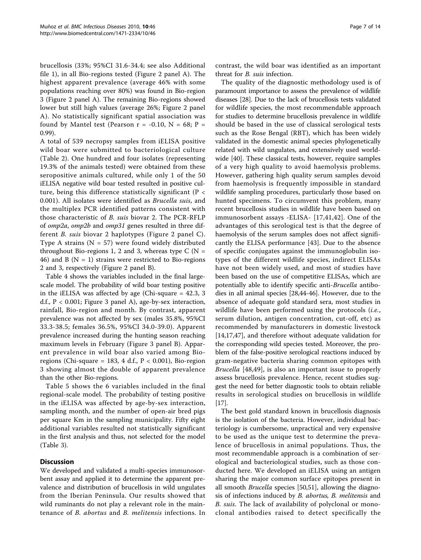brucellosis (33%; 95%CI 31.6-34.4; see also Additional file [1\)](#page-11-0), in all Bio-regions tested (Figure [2](#page-7-0) panel A). The highest apparent prevalence (average 46% with some populations reaching over 80%) was found in Bio-region 3 (Figure [2](#page-7-0) panel A). The remaining Bio-regions showed lower but still high values (average 26%; Figure [2](#page-7-0) panel A). No statistically significant spatial association was found by Mantel test (Pearson  $r = -0.10$ ,  $N = 68$ ; P = 0.99).

A total of 539 necropsy samples from iELISA positive wild boar were submitted to bacteriological culture (Table [2](#page-2-0)). One hundred and four isolates (representing 19.3% of the animals tested) were obtained from these seropositive animals cultured, while only 1 of the 50 iELISA negative wild boar tested resulted in positive culture, being this difference statistically significant (P < 0.001). All isolates were identified as Brucella suis, and the multiplex PCR identified patterns consistent with those characteristic of B. suis biovar 2. The PCR-RFLP of omp2a, omp2b and omp31 genes resulted in three different B. suis biovar 2 haplotypes (Figure [2](#page-7-0) panel C). Type A strains ( $N = 57$ ) were found widely distributed throughout Bio-regions 1, 2 and 3, whereas type C ( $N =$ 46) and B ( $N = 1$ ) strains were restricted to Bio-regions 2 and 3, respectively (Figure [2](#page-7-0) panel B).

Table [4](#page-8-0) shows the variables included in the final largescale model. The probability of wild boar testing positive in the iELISA was affected by age (Chi-square = 42.3, 3 d.f.,  $P < 0.001$ ; Figure [3](#page-8-0) panel A), age-by-sex interaction, rainfall, Bio-region and month. By contrast, apparent prevalence was not affected by sex (males 35.8%, 95%CI 33.3-38.5; females 36.5%, 95%CI 34.0-39.0). Apparent prevalence increased during the hunting season reaching maximum levels in February (Figure [3](#page-8-0) panel B). Apparent prevalence in wild boar also varied among Bioregions (Chi-square = 183, 4 d.f.,  $P < 0.001$ ), Bio-region 3 showing almost the double of apparent prevalence than the other Bio-regions.

Table [5](#page-8-0) shows the 6 variables included in the final regional-scale model. The probability of testing positive in the iELISA was affected by age-by-sex interaction, sampling month, and the number of open-air bred pigs per square Km in the sampling municipality. Fifty eight additional variables resulted not statistically significant in the first analysis and thus, not selected for the model (Table [3\)](#page-4-0).

## Discussion

We developed and validated a multi-species immunosorbent assay and applied it to determine the apparent prevalence and distribution of brucellosis in wild ungulates from the Iberian Peninsula. Our results showed that wild ruminants do not play a relevant role in the maintenance of B. abortus and B. melitensis infections. In contrast, the wild boar was identified as an important threat for B. suis infection.

The quality of the diagnostic methodology used is of paramount importance to assess the prevalence of wildlife diseases [\[28](#page-12-0)]. Due to the lack of brucellosis tests validated for wildlife species, the most recommendable approach for studies to determine brucellosis prevalence in wildlife should be based in the use of classical serological tests such as the Rose Bengal (RBT), which has been widely validated in the domestic animal species phylogenetically related with wild ungulates, and extensively used worldwide [\[40\]](#page-12-0). These classical tests, however, require samples of a very high quality to avoid haemolysis problems. However, gathering high quality serum samples devoid from haemolysis is frequently impossible in standard wildlife sampling procedures, particularly those based on hunted specimens. To circumvent this problem, many recent brucellosis studies in wildlife have been based on immunosorbent assays -ELISA- [[17](#page-11-0),[41,42](#page-12-0)]. One of the advantages of this serological test is that the degree of haemolysis of the serum samples does not affect significantly the ELISA performance [[43](#page-12-0)]. Due to the absence of specific conjugates against the immunoglobulin isotypes of the different wildlife species, indirect ELISAs have not been widely used, and most of studies have been based on the use of competitive ELISAs, which are potentially able to identify specific anti-Brucella antibodies in all animal species [\[28,44-46\]](#page-12-0). However, due to the absence of adequate gold standard sera, most studies in wildlife have been performed using the protocols (i.e., serum dilution, antigen concentration, cut-off, etc) as recommended by manufacturers in domestic livestock [[14,17,](#page-11-0)[47\]](#page-12-0), and therefore without adequate validation for the corresponding wild species tested. Moreover, the problem of the false-positive serological reactions induced by gram-negative bacteria sharing common epitopes with Brucella [\[48,49\]](#page-12-0), is also an important issue to properly assess brucellosis prevalence. Hence, recent studies suggest the need for better diagnostic tools to obtain reliable results in serological studies on brucellosis in wildlife [[17](#page-11-0)].

The best gold standard known in brucellosis diagnosis is the isolation of the bacteria. However, individual bacteriology is cumbersome, unpractical and very expensive to be used as the unique test to determine the prevalence of brucellosis in animal populations. Thus, the most recommendable approach is a combination of serological and bacteriological studies, such as those conducted here. We developed an iELISA using an antigen sharing the major common surface epitopes present in all smooth Brucella species [[50](#page-12-0),[51](#page-12-0)], allowing the diagnosis of infections induced by *B. abortus*, *B. melitensis* and B. suis. The lack of availability of polyclonal or monoclonal antibodies raised to detect specifically the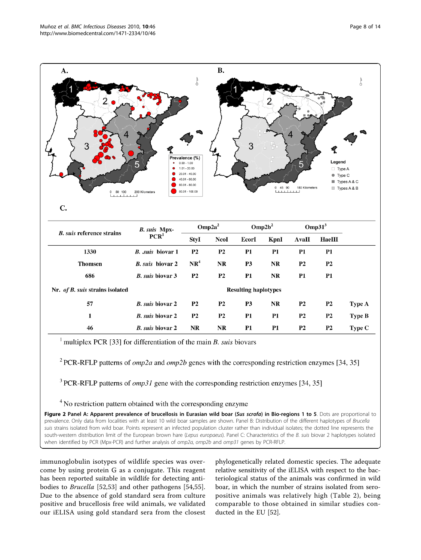<span id="page-7-0"></span>

| 1330                            | <i>B. suis</i> biovar 1     | P2              | P2             | Р1.       | PT.       | PI             | PI             |               |
|---------------------------------|-----------------------------|-----------------|----------------|-----------|-----------|----------------|----------------|---------------|
| <b>Thomsen</b>                  | <i>B. suis</i> biovar 2     | NR <sup>4</sup> | NR             | <b>P3</b> | <b>NR</b> | <b>P2</b>      | <b>P2</b>      |               |
| 686                             | <i>B. suis biovar</i> 3     | P <sub>2</sub>  | <b>P2</b>      | <b>P1</b> | NR        | P1             | P1             |               |
| Nr. of B. suis strains isolated | <b>Resulting haplotypes</b> |                 |                |           |           |                |                |               |
| 57                              | <i>B. suis biovar 2</i>     | <b>P2</b>       | <b>P2</b>      | P3        | <b>NR</b> | <b>P2</b>      | P <sub>2</sub> | <b>Type A</b> |
|                                 | <i>B. suis biovar 2</i>     | P <sub>2</sub>  | P <sub>2</sub> | P1        | P1        | <b>P2</b>      | <b>P2</b>      | Type B        |
| 46                              | <i>B. suis biovar 2</i>     | NR              | NR             | <b>P1</b> | <b>P1</b> | P <sub>2</sub> | P <sub>2</sub> | Type C        |

<sup>1</sup> multiplex PCR [33] for differentiation of the main *B*. *suis* biovars

<sup>2</sup> PCR-RFLP patterns of *omp2a* and *omp2b* genes with the corresponding restriction enzymes [34, 35]

<sup>3</sup> PCR-RFLP patterns of *omp31* gene with the corresponding restriction enzymes [34, 35]

<sup>4</sup> No restriction pattern obtained with the corresponding enzyme

Figure 2 Panel A: Apparent prevalence of brucellosis in Eurasian wild boar (Sus scrofa) in Bio-regions 1 to 5. Dots are proportional to prevalence. Only data from localities with at least 10 wild boar samples are shown. Panel B: Distribution of the different haplotypes of Brucella suis strains isolated from wild boar. Points represent an infected population cluster rather than individual isolates; the dotted line represents the south-western distribution limit of the European brown hare (Lepus europaeus). Panel C: Characteristics of the B. suis biovar 2 haplotypes isolated when identified by PCR (Mpx-PCR) and further analysis of omp2a, omp2b and omp31 genes by PCR-RFLP.

immunoglobulin isotypes of wildlife species was overcome by using protein G as a conjugate. This reagent has been reported suitable in wildlife for detecting antibodies to Brucella [\[52](#page-12-0),[53\]](#page-12-0) and other pathogens [[54,55](#page-12-0)]. Due to the absence of gold standard sera from culture positive and brucellosis free wild animals, we validated our iELISA using gold standard sera from the closest phylogenetically related domestic species. The adequate relative sensitivity of the iELISA with respect to the bacteriological status of the animals was confirmed in wild boar, in which the number of strains isolated from seropositive animals was relatively high (Table [2](#page-2-0)), being comparable to those obtained in similar studies conducted in the EU [[52\]](#page-12-0).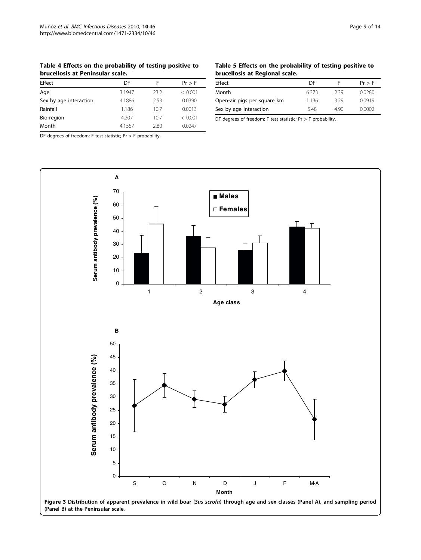<span id="page-8-0"></span>Table 4 Effects on the probability of testing positive to brucellosis at Peninsular scale.

| Effect                 | DF     | F    | $Pr$ > F |
|------------------------|--------|------|----------|
|                        |        |      |          |
| Age                    | 3.1947 | 23.2 | < 0.001  |
| Sex by age interaction | 4.1886 | 2.53 | 0.0390   |
| Rainfall               | 1.186  | 10.7 | 0.0013   |
| Bio-region             | 4.207  | 10.7 | < 0.001  |
| Month                  | 4.1557 | 2.80 | 0.0247   |

DF degrees of freedom; F test statistic; Pr > F probability.

## Table 5 Effects on the probability of testing positive to brucellosis at Regional scale.

| Effect                      | DF    |      | Pr > F |
|-----------------------------|-------|------|--------|
| Month                       | 6.373 | 239  | 0.0280 |
| Open-air pigs per square km | 1.136 | 3.29 | 0.0919 |
| Sex by age interaction      | 5.48  | 490  | 0.0002 |

DF degrees of freedom; F test statistic; Pr > F probability.

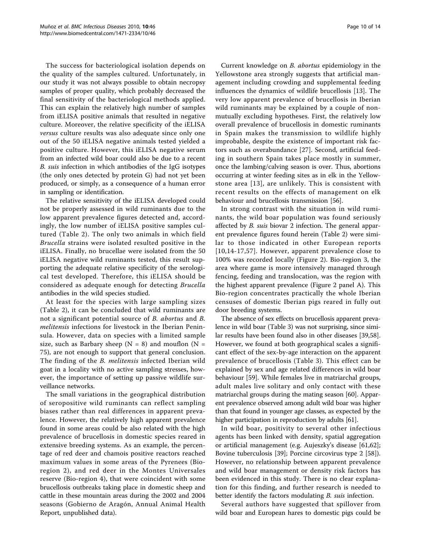The success for bacteriological isolation depends on the quality of the samples cultured. Unfortunately, in our study it was not always possible to obtain necropsy samples of proper quality, which probably decreased the final sensitivity of the bacteriological methods applied. This can explain the relatively high number of samples from iELISA positive animals that resulted in negative culture. Moreover, the relative specificity of the iELISA versus culture results was also adequate since only one out of the 50 iELISA negative animals tested yielded a positive culture. However, this iELISA negative serum from an infected wild boar could also be due to a recent B. suis infection in which antibodies of the IgG isotypes (the only ones detected by protein G) had not yet been produced, or simply, as a consequence of a human error in sampling or identification.

The relative sensitivity of the iELISA developed could not be properly assessed in wild ruminants due to the low apparent prevalence figures detected and, accordingly, the low number of iELISA positive samples cultured (Table [2](#page-2-0)). The only two animals in which field Brucella strains were isolated resulted positive in the iELISA. Finally, no brucellae were isolated from the 50 iELISA negative wild ruminants tested, this result supporting the adequate relative specificity of the serological test developed. Therefore, this iELISA should be considered as adequate enough for detecting Brucella antibodies in the wild species studied.

At least for the species with large sampling sizes (Table [2](#page-2-0)), it can be concluded that wild ruminants are not a significant potential source of B. abortus and B. melitensis infections for livestock in the Iberian Peninsula. However, data on species with a limited sample size, such as Barbary sheep ( $N = 8$ ) and mouflon ( $N =$ 75), are not enough to support that general conclusion. The finding of the *B. melitensis* infected Iberian wild goat in a locality with no active sampling stresses, however, the importance of setting up passive wildlife surveillance networks.

The small variations in the geographical distribution of seropositive wild ruminants can reflect sampling biases rather than real differences in apparent prevalence. However, the relatively high apparent prevalence found in some areas could be also related with the high prevalence of brucellosis in domestic species reared in extensive breeding systems. As an example, the percentage of red deer and chamois positive reactors reached maximum values in some areas of the Pyrenees (Bioregion 2), and red deer in the Montes Universales reserve (Bio-region 4), that were coincident with some brucellosis outbreaks taking place in domestic sheep and cattle in these mountain areas during the 2002 and 2004 seasons (Gobierno de Aragón, Annual Animal Health Report, unpublished data).

Current knowledge on B. abortus epidemiology in the Yellowstone area strongly suggests that artificial management including crowding and supplemental feeding influences the dynamics of wildlife brucellosis [[13](#page-11-0)]. The very low apparent prevalence of brucellosis in Iberian wild ruminants may be explained by a couple of nonmutually excluding hypotheses. First, the relatively low overall prevalence of brucellosis in domestic ruminants in Spain makes the transmission to wildlife highly improbable, despite the existence of important risk factors such as overabundance [[27\]](#page-12-0). Second, artificial feeding in southern Spain takes place mostly in summer, once the lambing/calving season is over. Thus, abortions occurring at winter feeding sites as in elk in the Yellowstone area [[13](#page-11-0)], are unlikely. This is consistent with recent results on the effects of management on elk behaviour and brucellosis transmission [[56](#page-12-0)].

In strong contrast with the situation in wild ruminants, the wild boar population was found seriously affected by *B. suis* biovar 2 infection. The general apparent prevalence figures found herein (Table [2\)](#page-2-0) were similar to those indicated in other European reports [[10,14-17,](#page-11-0)[57\]](#page-12-0). However, apparent prevalence close to 100% was recorded locally (Figure [2](#page-7-0)). Bio-region 3, the area where game is more intensively managed through fencing, feeding and translocation, was the region with the highest apparent prevalence (Figure [2](#page-7-0) panel A). This Bio-region concentrates practically the whole Iberian censuses of domestic Iberian pigs reared in fully out door breeding systems.

The absence of sex effects on brucellosis apparent prevalence in wild boar (Table [3\)](#page-4-0) was not surprising, since similar results have been found also in other diseases [\[39,58](#page-12-0)]. However, we found at both geographical scales a significant effect of the sex-by-age interaction on the apparent prevalence of brucellosis (Table [3\)](#page-4-0). This effect can be explained by sex and age related differences in wild boar behaviour [\[59](#page-12-0)]. While females live in matriarchal groups, adult males live solitary and only contact with these matriarchal groups during the mating season [\[60\]](#page-12-0). Apparent prevalence observed among adult wild boar was higher than that found in younger age classes, as expected by the higher participation in reproduction by adults [\[61\]](#page-12-0).

In wild boar, positivity to several other infectious agents has been linked with density, spatial aggregation or artificial management (e.g. Aujeszky's disease [\[61,62](#page-12-0)]; Bovine tuberculosis [[39\]](#page-12-0); Porcine circovirus type 2 [\[58](#page-12-0)]). However, no relationship between apparent prevalence and wild boar management or density risk factors has been evidenced in this study. There is no clear explanation for this finding, and further research is needed to better identify the factors modulating *B. suis* infection.

Several authors have suggested that spillover from wild boar and European hares to domestic pigs could be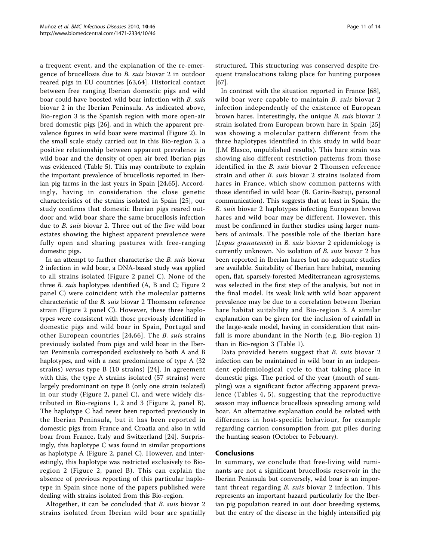a frequent event, and the explanation of the re-emergence of brucellosis due to B. suis biovar 2 in outdoor reared pigs in EU countries [\[63](#page-12-0),[64](#page-12-0)]. Historical contact between free ranging Iberian domestic pigs and wild boar could have boosted wild boar infection with B. suis biovar 2 in the Iberian Peninsula. As indicated above, Bio-region 3 is the Spanish region with more open-air bred domestic pigs [[26\]](#page-12-0), and in which the apparent prevalence figures in wild boar were maximal (Figure [2](#page-7-0)). In the small scale study carried out in this Bio-region 3, a positive relationship between apparent prevalence in wild boar and the density of open air bred Iberian pigs was evidenced (Table [5](#page-8-0)). This may contribute to explain the important prevalence of brucellosis reported in Iberian pig farms in the last years in Spain [[24,65](#page-12-0)]. Accordingly, having in consideration the close genetic characteristics of the strains isolated in Spain [[25](#page-12-0)], our study confirms that domestic Iberian pigs reared outdoor and wild boar share the same brucellosis infection due to B. suis biovar 2. Three out of the five wild boar estates showing the highest apparent prevalence were fully open and sharing pastures with free-ranging domestic pigs.

In an attempt to further characterise the B. suis biovar 2 infection in wild boar, a DNA-based study was applied to all strains isolated (Figure [2](#page-7-0) panel C). None of the three B. suis haplotypes identified (A, B and C; Figure [2](#page-7-0) panel C) were coincident with the molecular patterns characteristic of the B. suis biovar 2 Thomsem reference strain (Figure [2](#page-7-0) panel C). However, these three haplotypes were consistent with those previously identified in domestic pigs and wild boar in Spain, Portugal and other European countries [[24,66](#page-12-0)]. The B. suis strains previously isolated from pigs and wild boar in the Iberian Peninsula corresponded exclusively to both A and B haplotypes, and with a neat predominance of type A (32 strains) versus type B (10 strains) [[24\]](#page-12-0). In agreement with this, the type A strains isolated (57 strains) were largely predominant on type B (only one strain isolated) in our study (Figure [2,](#page-7-0) panel C), and were widely distributed in Bio-regions 1, 2 and 3 (Figure [2](#page-7-0), panel B). The haplotype C had never been reported previously in the Iberian Peninsula, but it has been reported in domestic pigs from France and Croatia and also in wild boar from France, Italy and Switzerland [[24\]](#page-12-0). Surprisingly, this haplotype C was found in similar proportions as haplotype A (Figure [2,](#page-7-0) panel C). However, and interestingly, this haplotype was restricted exclusively to Bioregion 2 (Figure [2,](#page-7-0) panel B). This can explain the absence of previous reporting of this particular haplotype in Spain since none of the papers published were dealing with strains isolated from this Bio-region.

Altogether, it can be concluded that B. suis biovar 2 strains isolated from Iberian wild boar are spatially structured. This structuring was conserved despite frequent translocations taking place for hunting purposes [[67](#page-13-0)].

In contrast with the situation reported in France [\[68](#page-13-0)], wild boar were capable to maintain B. suis biovar 2 infection independently of the existence of European brown hares. Interestingly, the unique B. suis biovar 2 strain isolated from European brown hare in Spain [\[25](#page-12-0)] was showing a molecular pattern different from the three haplotypes identified in this study in wild boar (J.M Blasco, unpublished results). This hare strain was showing also different restriction patterns from those identified in the B. suis biovar 2 Thomsen reference strain and other B. suis biovar 2 strains isolated from hares in France, which show common patterns with those identified in wild boar (B. Garin-Bastuji, personal communication). This suggests that at least in Spain, the B. suis biovar 2 haplotypes infecting European brown hares and wild boar may be different. However, this must be confirmed in further studies using larger numbers of animals. The possible role of the Iberian hare (Lepus granatensis) in B. suis biovar 2 epidemiology is currently unknown. No isolation of B. suis biovar 2 has been reported in Iberian hares but no adequate studies are available. Suitability of Iberian hare habitat, meaning open, flat, sparsely-forested Mediterranean agrosystems, was selected in the first step of the analysis, but not in the final model. Its weak link with wild boar apparent prevalence may be due to a correlation between Iberian hare habitat suitability and Bio-region 3. A similar explanation can be given for the inclusion of rainfall in the large-scale model, having in consideration that rainfall is more abundant in the North (e.g. Bio-region 1) than in Bio-region 3 (Table [1\)](#page-2-0).

Data provided herein suggest that B. suis biovar 2 infection can be maintained in wild boar in an independent epidemiological cycle to that taking place in domestic pigs. The period of the year (month of sampling) was a significant factor affecting apparent prevalence (Tables [4, 5](#page-8-0)), suggesting that the reproductive season may influence brucellosis spreading among wild boar. An alternative explanation could be related with differences in host-specific behaviour, for example regarding carrion consumption from gut piles during the hunting season (October to February).

## Conclusions

In summary, we conclude that free-living wild ruminants are not a significant brucellosis reservoir in the Iberian Peninsula but conversely, wild boar is an important threat regarding B. suis biovar 2 infection. This represents an important hazard particularly for the Iberian pig population reared in out door breeding systems, but the entry of the disease in the highly intensified pig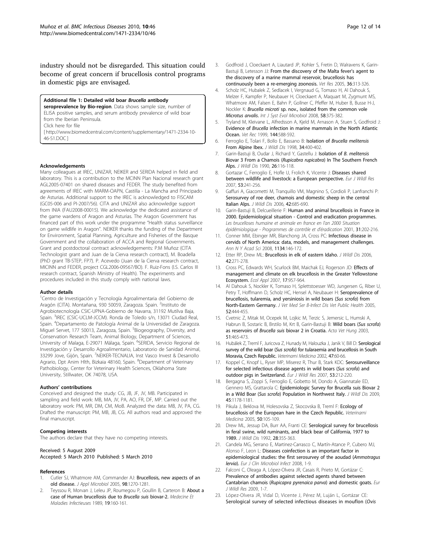<span id="page-11-0"></span>industry should not be disregarded. This situation could become of great concern if brucellosis control programs in domestic pigs are envisaged.

#### Additional file 1: Detailed wild boar Brucella antibody

seroprevalence by Bio-region. Data shows sample size, number of ELISA positive samples, and serum antibody prevalence of wild boar from the Iberian Peninsula.

Click here for file

[ http://www.biomedcentral.com/content/supplementary/1471-2334-10- 46-S1.DOC ]

#### Acknowledgements

Many colleagues at IREC, UNIZAR, NEIKER and SERIDA helped in field and laboratory. This is a contribution to the MCINN Plan Nacional research grant AGL2005-07401 on shared diseases and FEDER. The study benefited from agreements of IREC with MARM-OAPN, Castilla - La Mancha and Principado de Asturias. Additional support to the IREC is acknowledged to FISCAM (GC05-006 and PI-2007/56). CITA and UNIZAR also acknowledge support from INIA (FAU2008-00015). We acknowledge the dedicated assistance of the game wardens of Aragon and Asturias. The Aragon Government has financed part of this work under the programme "Health status surveillance on game wildlife in Aragon". NEIKER thanks the funding of the Department for Environment, Spatial Planning, Agriculture and Fisheries of the Basque Government and the collaboration of ACCA and Regional Governments. Grant and postdoctoral contract acknowledgements: P.M Muñoz (CITA Technologist grant and Juan de la Cierva research contract), M. Boadella (PhD grant TB-STEP, FP7). P. Acevedo (Juan de la Cierva research contract, MICINN and FEDER, project CGL2006-09567/BO). F. Ruiz-Fons (I.S. Carlos III research contract, Spanish Ministry of Health). The experiments and procedures included in this study comply with national laws.

#### Author details

<sup>1</sup>Centro de Investigación y Tecnología Agroalimentaria del Gobierno de Aragón (CITA). Montañana, 930 50059, Zaragoza. Spain. <sup>2</sup>Instituto de Agrobiotecnología CSIC-UPNA-Gobierno de Navarra, 31192 Mutilva Baja, Spain. <sup>3</sup>IREC (CSIC-UCLM-JCCM). Ronda de Toledo s/n, 13071 Ciudad Real, Spain. <sup>4</sup> Departamento de Patología Animal de la Universidad de Zaragoza. Miguel Servet, 177 50013, Zaragoza, Spain. <sup>5</sup>Biogeography, Diversity, and Conservation Research Team, Animal Biology, Department of Sciences,<br>University of Malaga, E-29071 Málaga, Spain. <sup>6</sup>SERIDA, Servicio Regional de Investigación y Desarrollo Agroalimentario, Laboratorio de Sanidad Animal, 33299 Jove, Gijón, Spain. <sup>7</sup>NEIKER-TECNALIA, Inst Vasco Invest & Desarrollo Agrario, Dpt Anim Hlth, Bizkaia 48160, Spain. <sup>8</sup>Department of Veterinary Pathobiology, Center for Veterinary Health Sciences, Oklahoma State University, Stillwater, OK 74078, USA.

#### Authors' contributions

Conceived and designed the study: CG, JB, JF, JV, MB. Participated in sampling and field work: MB, MA, JV, PA, AO, FR, DF, MP. Carried out the laboratory work: PM, MR, DM, CM, MoB. Analyzed the data: MB, JV, PA, CG. Drafted the manuscript: PM, MB, JB, CG. All authors read and approved the final manuscript.

#### Competing interests

The authors declare that they have no competing interests.

#### Received: 5 August 2009

Accepted: 5 March 2010 Published: 5 March 2010

#### References

- 1. Cutler SJ, Whatmore AM, Commander AJ: [Brucellosis, new aspects of an](http://www.ncbi.nlm.nih.gov/pubmed/15916641?dopt=Abstract) [old disease.](http://www.ncbi.nlm.nih.gov/pubmed/15916641?dopt=Abstract) J Appl Microbiol 2005, 98:1270-1281.
- 2. Teyssou R, Morvan J, Leleu JP, Roumegou P, Goullin B, Carteron B: About a case of Human brucellosis due to Brucella suis biovar-2. Medecine Et Maladies Infectieuses 1989, 19:160-161.
- 3. Godfroid J, Cloeckaert A, Liautard JP, Kohler S, Fretin D, Walravens K, Garin-Bastuji B, Letesson JJ: [From the discovery of the Malta fever](http://www.ncbi.nlm.nih.gov/pubmed/15845228?dopt=Abstract)'s agent to [the discovery of a marine mammal reservoir, brucellosis has](http://www.ncbi.nlm.nih.gov/pubmed/15845228?dopt=Abstract) [continuously been a re-emerging zoonosis.](http://www.ncbi.nlm.nih.gov/pubmed/15845228?dopt=Abstract) Vet Res 2005, 36:313-326.
- 4. Scholz HC, Hubalek Z, Sedlacek I, Vergnaud G, Tomaso H, Al Dahouk S, Melzer F, Kampfer P, Neubauer H, Cloeckaert A, Maquart M, Zygmunt MS, Whatmore AM, Falsen E, Bahn P, Gollner C, Pfeffer M, Huber B, Busse H-J, Nockler K: Brucella microti [sp. nov., isolated from the common vole](http://www.ncbi.nlm.nih.gov/pubmed/18218934?dopt=Abstract) [Microtus arvalis](http://www.ncbi.nlm.nih.gov/pubmed/18218934?dopt=Abstract). Int J Syst Evol Microbiol 2008, 58:375-382.
- 5. Tryland M, Kleivane L, Alfredsson A, Kjeld M, Arnason A, Stuen S, Godfroid J: Evidence of Brucella [infection in marine mammals in the North Atlantic](http://www.ncbi.nlm.nih.gov/pubmed/10378290?dopt=Abstract) [Ocean.](http://www.ncbi.nlm.nih.gov/pubmed/10378290?dopt=Abstract) Vet Rec 1999, 144:588-592.
- 6. Ferroglio E, Tolari F, Bollo E, Bassano B: [Isolation of](http://www.ncbi.nlm.nih.gov/pubmed/9577795?dopt=Abstract) Brucella melitensis [From Alpine Ibex.](http://www.ncbi.nlm.nih.gov/pubmed/9577795?dopt=Abstract) J Wildl Dis 1998, 34:400-402.
- 7. Garin-Bastuji B, Oudar J, Richard Y, Gastellu J: [Isolation of](http://www.ncbi.nlm.nih.gov/pubmed/2304191?dopt=Abstract) B. melitensis [Biovar 3 From a Chamois \(](http://www.ncbi.nlm.nih.gov/pubmed/2304191?dopt=Abstract)Rupicabra rupicabra) In The Southern French [Alps.](http://www.ncbi.nlm.nih.gov/pubmed/2304191?dopt=Abstract) J Wildl Dis 1990, 26:116-118.
- 8. Gortazar C, Ferroglio E, Hofle U, Frolich K, Vicente J: Diseases shared between wildlife and livestock: a European perspective. Eur J Wildl Res 2007, 53:241-256.
- 9. Gaffuri A, Giacometti M, Tranquillo VM, Magnino S, Cordioli P, Lanfranchi P: [Serosurvey of roe deer, chamois and domestic sheep in the central](http://www.ncbi.nlm.nih.gov/pubmed/17092903?dopt=Abstract) [Italian Alps.](http://www.ncbi.nlm.nih.gov/pubmed/17092903?dopt=Abstract) J Wildl Dis 2006, 42:685-690.
- 10. Garin-Bastuji B, Delcueillerie F: Human and animal brucellosis in France in 2000. Epidemiological situation - Control and eradication programmes. Les brucelloses humaine et animale en france en l'an 2000 Situation épidémiologique - Programmes de contrôle et d'éradication 2001, 31:202-216.
- 11. Conner MM, Ebinger MR, Blanchong JA, Cross PC: [Infectious disease in](http://www.ncbi.nlm.nih.gov/pubmed/18566093?dopt=Abstract) [cervids of North America: data, models, and management challenges.](http://www.ncbi.nlm.nih.gov/pubmed/18566093?dopt=Abstract) Ann N Y Acad Sci 2008, 1134:146-172.
- 12. Etter RP, Drew ML: [Brucellosis in elk of eastern Idaho.](http://www.ncbi.nlm.nih.gov/pubmed/16870849?dopt=Abstract) J Wildl Dis 2006, 42:271-278.
- 13. Cross PC, Edwards WH, Scurlock BM, Maichak EJ, Rogerson JD: [Effects of](http://www.ncbi.nlm.nih.gov/pubmed/17555209?dopt=Abstract) [management and climate on elk brucellosis in the Greater Yellowstone](http://www.ncbi.nlm.nih.gov/pubmed/17555209?dopt=Abstract) [Ecosystem.](http://www.ncbi.nlm.nih.gov/pubmed/17555209?dopt=Abstract) Ecol Appl 2007, 17:957-964.
- 14. Al Dahouk S, Nockler K, Tomaso H, Splettstoesser WD, Jungersen G, Riber U, Petry T, Hoffmann D, Scholz HC, Hensel A, Neubauer H: Seroprevalence of brucellosis, tularemia, and yersiniosis in wild boars (Sus scrofa) from North-Eastern Germany. J Vet Med Ser B-Infect Dis Vet Public Health 2005, 52:444-455.
- 15. Cvetnic Z, Mitak M, Ocepek M, Lojkic M, Terzic S, Jemersic L, Humski A, Habrun B, Sostaric B, Brstilo M, Krt B, Garin-Bastuji B: [Wild boars \(](http://www.ncbi.nlm.nih.gov/pubmed/14680058?dopt=Abstract)Sus scrofa) as reservoirs of Brucella suis [biovar 2 in Croatia.](http://www.ncbi.nlm.nih.gov/pubmed/14680058?dopt=Abstract) Acta Vet Hung 2003, 51:465-473.
- 16. Hubálek Z, Treml F, Juricova Z, Hunady M, Halouzka J, Janik V, Bill D: Serological survey of the wild boar (Sus scrofa) for tularaemia and brucellosis in South Moravia, Czech Republic. Veterinarni Medicina 2002, 47:60-66.
- 17. Koppel C, Knopf L, Ryser MP, Miserez R, Thur B, Stark KDC: Serosurveillance for selected infectious disease agents in wild boars (Sus scrofa) and outdoor pigs in Switzerland. Eur J Wildl Res 2007, 53:212-220.
- 18. Bergagna S, Zoppi S, Ferroglio E, Gobetto M, Dondo A, Giannatale ED, Gennero MS, Grattarola C: [Epidemiologic Survey for Brucella suis Biovar 2](http://www.ncbi.nlm.nih.gov/pubmed/19901393?dopt=Abstract) in a Wild Boar (Sus scrofa[\) Population in Northwest Italy.](http://www.ncbi.nlm.nih.gov/pubmed/19901393?dopt=Abstract) J Wildl Dis 2009, 45:1178-1181.
- 19. Pikula J, Beklova M, Holesovska Z, Skocovska B, Treml F: Ecology of brucellosis of the European hare in the Czech Republic. Veterinarni Medicina 2005, 50:105-109.
- Drew ML, Jessup DA, Burr AA, Franti CE: [Serological survey for brucellosis](http://www.ncbi.nlm.nih.gov/pubmed/1512866?dopt=Abstract) [in feral swine, wild ruminants, and black bear of California, 1977 to](http://www.ncbi.nlm.nih.gov/pubmed/1512866?dopt=Abstract) [1989.](http://www.ncbi.nlm.nih.gov/pubmed/1512866?dopt=Abstract) J Wildl Dis 1992, 28:355-363.
- 21. Candela MG, Serrano E, Martinez-Carrasco C, Martín-Atance P, Cubero MJ, Alonso F, Leon L: Diseases coinfection is an important factor in epidemiological studies: the first serosurvey of the aoudad (Ammotragus lervia). Eur J Clin Microbiol Infect 2008, 1-9.
- 22. Falconi C, Oleaga A, López-Olvera JR, Casais R, Prieto M, Gortázar C: Prevalence of antibodies against selected agents shared between Cantabrian chamois (Rupicapra pyrenaica parva) and domestic goats. Eur J Wildl Res 2009, 1-7.
- 23. López-Olvera JR, Vidal D, Vicente J, Pérez M, Luján L, Gortázar CE: Serological survey of selected infectious diseases in mouflon (Ovis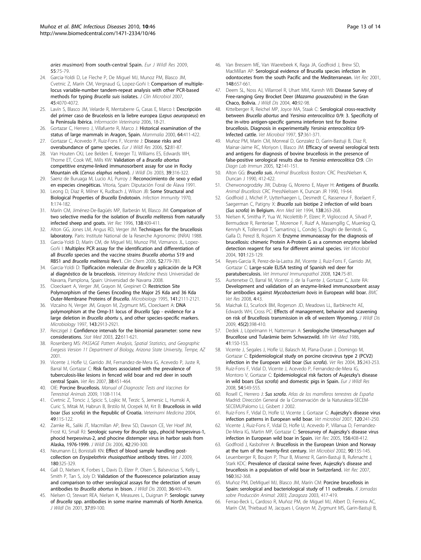<span id="page-12-0"></span>aries musimon) from south-central Spain. Eur J Wildl Res 2009, 55:75-79.

- 24. Garcia-Yoldi D, Le Fleche P, De Miguel MJ, Munoz PM, Blasco JM, Cvetnic Z, Marín CM, Vergnaud G, Lopez-Goñi I: [Comparison of multiple](http://www.ncbi.nlm.nih.gov/pubmed/17942649?dopt=Abstract)[locus variable-number tandem-repeat analysis with other PCR-based](http://www.ncbi.nlm.nih.gov/pubmed/17942649?dopt=Abstract) [methods for typing](http://www.ncbi.nlm.nih.gov/pubmed/17942649?dopt=Abstract) Brucella suis isolates. J Clin Microbiol 2007, 45:4070-4072.
- 25. Lavín S, Blasco JM, Velarde R, Mentaberre G, Casas E, Marco I: Descripción del primer caso de Brucelosis en la liebre europea (Lepus aeuropaeus) en la Península Ibérica. Información Veterinaria 2006, 18-21.
- 26. Gortazar C, Herrero J, Villafuerte R, Marco J: Historical examination of the status of large mammals in Aragon, Spain. Mammalia 2000, 64:411-422.
- 27. Gortazar C, Acevedo P, Ruiz-Fons F, Vicente J: Disease risks and overabundance of game species. Eur J Wildl Res 2006, 52:81-87.
- 28. Van Houten CKJ, Lee Belden E, Kreeger TJ, Williams ES, Edwards WH, Thorne ET, Cook WE, Mills KW: [Validation of a](http://www.ncbi.nlm.nih.gov/pubmed/12910758?dopt=Abstract) Brucella abortus [competitive enzyme-linked immunosorbent assay for use in Rocky](http://www.ncbi.nlm.nih.gov/pubmed/12910758?dopt=Abstract) [Mountain elk \(](http://www.ncbi.nlm.nih.gov/pubmed/12910758?dopt=Abstract)Cervus elaphus nelsoni). J Wildl Dis 2003, <sup>39</sup>:316-322.
- 29. Saenz de Buruaga M, Lucio AJ, Purroy J: Reconocimiento de sexo y edad en especies cinegéticas. Vitoria, Spain: Diputación Foral de Álava 1991.
- 30. Leong D, Diaz R, Milner K, Rudbach J, Wilson JB: [Some Structural and](http://www.ncbi.nlm.nih.gov/pubmed/16557710?dopt=Abstract) [Biological Properties of](http://www.ncbi.nlm.nih.gov/pubmed/16557710?dopt=Abstract) Brucella Endotoxin. Infection Immunity 1970, 1:174-182.
- 31. Marín CM, Jiménez-De-Bagüés MP, Barberán M, Blasco JM: [Comparison of](http://www.ncbi.nlm.nih.gov/pubmed/8733178?dopt=Abstract) [two selective media for the isolation of](http://www.ncbi.nlm.nih.gov/pubmed/8733178?dopt=Abstract) Brucella melitensis from naturally [infected sheep and goats.](http://www.ncbi.nlm.nih.gov/pubmed/8733178?dopt=Abstract) Vet Rec 1996, 138:409-411.
- 32. Alton GG, Jones LM, Angus RD, Verger JM: Techniques for the brucellosis laboratory. Paris: Institute National de la Reserche Agronomic (INRA) 1988.
- 33. Garcia-Yoldi D, Marín CM, de Miguel MJ, Munoz PM, Vizmanos JL, Lopez-Goñi I: [Multiplex PCR assay for the identification and differentiation of](http://www.ncbi.nlm.nih.gov/pubmed/16595839?dopt=Abstract) all Brucella [species and the vaccine strains](http://www.ncbi.nlm.nih.gov/pubmed/16595839?dopt=Abstract) Brucella abortus S19 and [RB51 and](http://www.ncbi.nlm.nih.gov/pubmed/16595839?dopt=Abstract) Brucella melitensis Rev1. Clin Chem 2006, 52:779-781.
- 34. Garcia-Yoldi D: Tipificación molecular de Brucella y aplicación de la PCR al diagnóstico de la brucelosis. Veterinary Medicine thesis Universidad de Navarra, Pamplona, Spain: Universidad de Navarra 2008.
- 35. Cloeckaert A, Verger JM, Grayon M, Grepinet O: [Restriction Site](http://www.ncbi.nlm.nih.gov/pubmed/7496522?dopt=Abstract) [Polymorphism of the Genes Encoding the Major 25 Kda and 36 Kda](http://www.ncbi.nlm.nih.gov/pubmed/7496522?dopt=Abstract) [Outer-Membrane Proteins of](http://www.ncbi.nlm.nih.gov/pubmed/7496522?dopt=Abstract) Brucella. Microbiology 1995, <sup>141</sup>:2111-2121.
- 36. Vizcaíno N, Verger JM, Grayon M, Zygmunt MS, Cloeckaert A: [DNA](http://www.ncbi.nlm.nih.gov/pubmed/9308175?dopt=Abstract) [polymorphism at the Omp-31 locus of](http://www.ncbi.nlm.nih.gov/pubmed/9308175?dopt=Abstract) Brucella Spp - evidence for a large deletion in Brucella abortu [s, and other species-specific markers.](http://www.ncbi.nlm.nih.gov/pubmed/9308175?dopt=Abstract) Microbiology 1997, 143:2913-2921.
- 37. Reiczigel J: [Confidence intervals for the binomial parameter: some new](http://www.ncbi.nlm.nih.gov/pubmed/12590417?dopt=Abstract) [considerations.](http://www.ncbi.nlm.nih.gov/pubmed/12590417?dopt=Abstract) Stat Med 2003, 22:611-621.
- 38. Rosenberg MS: PASSAGE Pattern Analysis, Spatial Statistics, and Geographic Exegesis Version 11 Department of Biology, Arizona State University, Tempe, AZ 2001.
- 39. Vicente J, Hofle U, Garrido JM, Fernandez-de-Mera IG, Acevedo P, Juste R, Barral M, Gortazar C: [Risk factors associated with the prevalence of](http://www.ncbi.nlm.nih.gov/pubmed/17425933?dopt=Abstract) [tuberculosis-like lesions in fenced wild boar and red deer in south](http://www.ncbi.nlm.nih.gov/pubmed/17425933?dopt=Abstract) [central Spain.](http://www.ncbi.nlm.nih.gov/pubmed/17425933?dopt=Abstract) Vet Res 2007, 38:451-464.
- 40. OIE: Porcine Brucellosis. Manual of Diagnostic Tests and Vaccines for Terrestrial Animals 2009, 1108-1114.
- 41. Cvetnic Z, Toncic J, Spicic S, Lojkic M, Terzic S, Jemersic L, Humski A, Curic S, Mitak M, Habrun B, Brstilo M, Ocepek M, Krt B: Brucellosis in wild boar (Sus scrofa) in the Republic of Croatia. Veterinarni Medicina 2004, 49:115-122.
- 42. Zarnke RL, Saliki JT, Macmillan AP, Brew SD, Dawson CE, Ver Hoef JM, Frost KJ, Small RJ: Serologic survey for Brucella [spp., phocid herpesvirus-1,](http://www.ncbi.nlm.nih.gov/pubmed/16870851?dopt=Abstract) [phocid herpesvirus-2, and phocine distemper virus in harbor seals from](http://www.ncbi.nlm.nih.gov/pubmed/16870851?dopt=Abstract) [Alaska, 1976-1999.](http://www.ncbi.nlm.nih.gov/pubmed/16870851?dopt=Abstract) J Wildl Dis 2006, 42:290-300.
- 43. Neumann EJ, Bonistalli KN: [Effect of blood sample handling post](http://www.ncbi.nlm.nih.gov/pubmed/18783968?dopt=Abstract)collection on Erysipelothrix rhusiopathiae [antibody titres.](http://www.ncbi.nlm.nih.gov/pubmed/18783968?dopt=Abstract) Vet J 2009, 180:325-329.
- 44. Gall D, Nielsen K, Forbes L, Davis D, Elzer P, Olsen S, Balsevicius S, Kelly L, Smith P, Tan S, Joly D: [Validation of the fluorescence polarization assay](http://www.ncbi.nlm.nih.gov/pubmed/10941731?dopt=Abstract) [and comparison to other serological assays for the detection of serum](http://www.ncbi.nlm.nih.gov/pubmed/10941731?dopt=Abstract) [antibodies to](http://www.ncbi.nlm.nih.gov/pubmed/10941731?dopt=Abstract) Brucella abortus in bison. J Wildl Dis 2000, 36:469-476.
- 45. Nielsen O, Stewart REA, Nielsen K, Measures L, Duignan P: [Serologic survey](http://www.ncbi.nlm.nih.gov/pubmed/11272509?dopt=Abstract) of Brucella [spp. antibodies in some marine mammals of North America.](http://www.ncbi.nlm.nih.gov/pubmed/11272509?dopt=Abstract) J Wildl Dis 2001, 37:89-100.
- 46. Van Bressem ME, Van Waerebeek K, Raga JA, Godfroid J, Brew SD, MacMillan AP: [Serological evidence of Brucella species infection in](http://www.ncbi.nlm.nih.gov/pubmed/11400986?dopt=Abstract) [odontocetes from the south Pacific and the Mediterranean.](http://www.ncbi.nlm.nih.gov/pubmed/11400986?dopt=Abstract) Vet Rec 2001, 148:657-661.
- 47. Deem SL, Noss AJ, Villarroel R, Uhart MM, Karesh WB: [Disease Survey of](http://www.ncbi.nlm.nih.gov/pubmed/15137493?dopt=Abstract) [Free-ranging Grey Brocket Deer \(](http://www.ncbi.nlm.nih.gov/pubmed/15137493?dopt=Abstract)Mazama gouazoubira) in the Gran [Chaco, Bolivia.](http://www.ncbi.nlm.nih.gov/pubmed/15137493?dopt=Abstract) J Wildl Dis 2004, 40:92-98.
- 48. Kittelberger R, Reichel MP, Joyce MA, Staak C: [Serological cross-reactivity](http://www.ncbi.nlm.nih.gov/pubmed/9444073?dopt=Abstract) between Brucella abortus and Yersinia enterocolitica [0/9: 3. Specificity of](http://www.ncbi.nlm.nih.gov/pubmed/9444073?dopt=Abstract) [the in-vitro antigen-specific gamma interferon test for Bovine](http://www.ncbi.nlm.nih.gov/pubmed/9444073?dopt=Abstract) [brucellosis. Diagnosis in experimentally](http://www.ncbi.nlm.nih.gov/pubmed/9444073?dopt=Abstract) Yersinia enterocolitica 0/9- [Infected cattle.](http://www.ncbi.nlm.nih.gov/pubmed/9444073?dopt=Abstract) Vet Microbiol 1997, 57:361-371.
- 49. Muñoz PM, Marín CM, Monreal D, Gonzalez D, Garin-Bastuji B, Diaz R, Mainar-Jaime RC, Moriyon I, Blasco JM: Efficacy of several serological tests and antigens for diagnosis of bovine brucellosis in the presence of false-positive serological results due to Yersinia enterocolitica O:9. Clin Diagn Lab Immun 2005, 12:141-151.
- 50. Alton GG: Brucella suis. Animal Brucellosis Boston: CRC PressNielsen K, Duncan J 1990, 412-422.
- 51. Cherwonogrodzky JW, Dubray G, Moreno E, Mayer H: Antigens of Brucella. Animal Brucellosis CRC PressNielssen K, Duncan JR 1990, 19-64.
- 52. Godfroid J, Michel P, Uytterhaegen L, Desmedt C, Rasseneur F, Boelaert F, Saegerman C, Patigny X: Brucella suis biotipe 2 infection of wild boars (Sus scrofa) in Belgium. Ann Med Vet 1994, <sup>138</sup>:263-268.
- 53. Nielsen K, Smitha P, Yua W, Nicolettib P, Elzerc P, Viglioccod A, Silvad P, Bermudeze R, Renteriae T, Morenoe F, Ruizf A, Massengillg C, Muenksg Q, Kennyh K, Tollersrudi T, Samartinoj L, Condej S, Draghi de Benitezk G, Galla D, Perezl B, Rojasm X: [Enzyme immunoassay for the diagnosis of](http://www.ncbi.nlm.nih.gov/pubmed/15172695?dopt=Abstract) [brucellosis: chimeric Protein A-Protein G as a common enzyme labeled](http://www.ncbi.nlm.nih.gov/pubmed/15172695?dopt=Abstract) [detection reagent for sera for different animal species.](http://www.ncbi.nlm.nih.gov/pubmed/15172695?dopt=Abstract) Vet Microbiol 2004, 101:123-129.
- 54. Reyes-Garcia R, Perez-de-la-Lastra JM, Vicente J, Ruiz-Fons F, Garrido JM, Gortazar C: [Large-scale ELISA testing of Spanish red deer for](http://www.ncbi.nlm.nih.gov/pubmed/18313144?dopt=Abstract) [paratuberculosis.](http://www.ncbi.nlm.nih.gov/pubmed/18313144?dopt=Abstract) Vet Immunol Immunopathol 2008, 124:75-81.
- 55. Aurtenetxe O, Barral M, Vicente J, de la Fuente J, Gortazar C, Juste RA: [Development and validation of an enzyme-linked immunosorbent assay](http://www.ncbi.nlm.nih.gov/pubmed/18976491?dopt=Abstract) for antibodies against Mycobacterium bovis [in European wild boar.](http://www.ncbi.nlm.nih.gov/pubmed/18976491?dopt=Abstract) BMC Vet Res 2008, 4:43.
- 56. Maichak EJ, Scurlock BM, Rogerson JD, Meadows LL, Barbknecht AE, Edwards WH, Cross PC: [Effects of management, behavior and scavening](http://www.ncbi.nlm.nih.gov/pubmed/19395749?dopt=Abstract) [on risk of Brucellosis transmission in elk of western Wyoming.](http://www.ncbi.nlm.nih.gov/pubmed/19395749?dopt=Abstract) J Wildl Dis 2009, 45(2):398-410.
- 57. Dedek J, Löpelmann H, Natterman A: Serologische Untersuchungen auf Brucellose und Tularämie beim Schwarzwild. Mh Vet -Med 1986, 41:150-153.
- 58. Vicente J, Segales J, Hofle U, Balasch M, Plana-Duran J, Domingo M, Gortazar C: [Epidemiological study on porcine circovirus type 2 \(PCV2\)](http://www.ncbi.nlm.nih.gov/pubmed/15099500?dopt=Abstract) [infection in the European wild boar \(](http://www.ncbi.nlm.nih.gov/pubmed/15099500?dopt=Abstract)Sus scrofa). Vet Res 2004, <sup>35</sup>:243-253.
- Ruiz-Fons F, Vidal D, Vicente J, Acevedo P, Fernandez-de-Mera IG, Montoro V, Gortazar C: Epidemiological risk factors of Aujeszky's disease in wild boars (Sus scrofa) and domestic pigs in Spain. Eur J Wildl Res 2008, 54:549-555.
- 60. Rosell C, Herrero J: Sus scrofa. Atlas de los mamíferos terrestres de España Madrid: Dirección General de la Conservación de la Naturaleza-SECEM-SECEMUPalomo LJ, Gisbert J 2002.
- 61. Ruiz-Fons F, Vidal D, Hofle U, Vicente J, Gortazar C: Aujeszky'[s disease virus](http://www.ncbi.nlm.nih.gov/pubmed/17169510?dopt=Abstract) [infection patterns in European wild boar.](http://www.ncbi.nlm.nih.gov/pubmed/17169510?dopt=Abstract) Vet microbiol 2007, 120:241-250.
- 62. Vicente J, Ruiz-Fons F, Vidal D, Hofle U, Acevedo P, Villanua D, Fernandez-De-Mera IG, Martin MP, Gortazar C: [Serosurvey of Aujeszky](http://www.ncbi.nlm.nih.gov/pubmed/15816194?dopt=Abstract)'s disease virus [infection in European wild boar in Spain.](http://www.ncbi.nlm.nih.gov/pubmed/15816194?dopt=Abstract) Vet Rec 2005, 156:408-412.
- 63. Godfroid J, Kasbohrer A: [Brucellosis in the European Union and Norway](http://www.ncbi.nlm.nih.gov/pubmed/12414139?dopt=Abstract) [at the turn of the twenty-first century.](http://www.ncbi.nlm.nih.gov/pubmed/12414139?dopt=Abstract) Vet Microbiol 2002, 90:135-145.
- 64. Leuenberger R, Boujon P, Thur B, Miserez R, Garin-Bastuji B, Rufenacht J, Stark KDC: [Prevalence of classical swine fever, Aujeszky](http://www.ncbi.nlm.nih.gov/pubmed/17369476?dopt=Abstract)'s disease and [brucellosis in a population of wild boar in Switzerland.](http://www.ncbi.nlm.nih.gov/pubmed/17369476?dopt=Abstract) Vet Rec 2007, 160:362-368.
- 65. Muñoz PM, DeMiguel MJ, Blasco JM, Marín CM: Porcine brucellosis in Spain: serological and bacteriological study of 11 outbreaks. X Jornadas sobre Producción Animal: 2003; Zaragoza 2003, 417-419.
- 66. Ferrao-Beck L, Cardoso R, Muñoz PM, de Miguel MJ, Albert D, Ferreira AC, Marín CM, Thiebaud M, Jacques I, Grayon M, Zygmunt MS, Garin-Bastuji B,